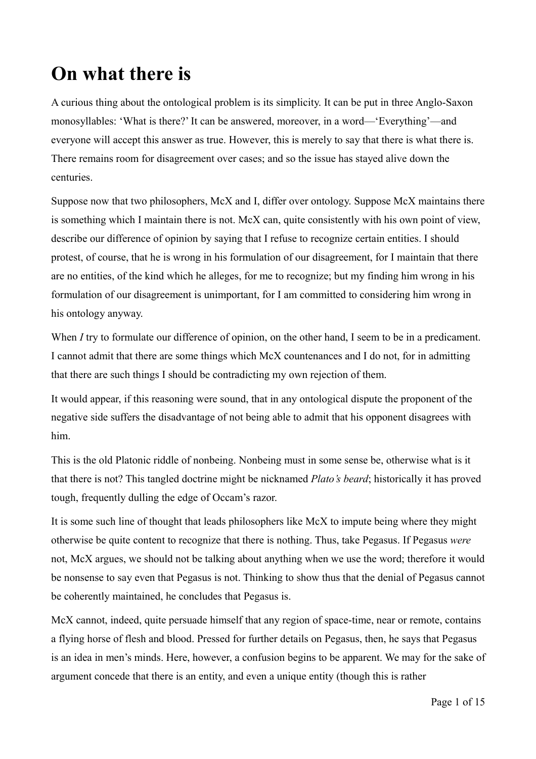## **On what there is**

A curious thing about the ontological problem is its simplicity. It can be put in three Anglo-Saxon monosyllables: 'What is there?' It can be answered, moreover, in a word—'Everything'—and everyone will accept this answer as true. However, this is merely to say that there is what there is. There remains room for disagreement over cases; and so the issue has stayed alive down the centuries.

Suppose now that two philosophers, McX and I, differ over ontology. Suppose McX maintains there is something which I maintain there is not. McX can, quite consistently with his own point of view, describe our difference of opinion by saying that I refuse to recognize certain entities. I should protest, of course, that he is wrong in his formulation of our disagreement, for I maintain that there are no entities, of the kind which he alleges, for me to recognize; but my finding him wrong in his formulation of our disagreement is unimportant, for I am committed to considering him wrong in his ontology anyway.

When *I* try to formulate our difference of opinion, on the other hand, I seem to be in a predicament. I cannot admit that there are some things which McX countenances and I do not, for in admitting that there are such things I should be contradicting my own rejection of them.

It would appear, if this reasoning were sound, that in any ontological dispute the proponent of the negative side suffers the disadvantage of not being able to admit that his opponent disagrees with him.

This is the old Platonic riddle of nonbeing. Nonbeing must in some sense be, otherwise what is it that there is not? This tangled doctrine might be nicknamed *Plato's beard*; historically it has proved tough, frequently dulling the edge of Occam's razor.

It is some such line of thought that leads philosophers like McX to impute being where they might otherwise be quite content to recognize that there is nothing. Thus, take Pegasus. If Pegasus *were* not, McX argues, we should not be talking about anything when we use the word; therefore it would be nonsense to say even that Pegasus is not. Thinking to show thus that the denial of Pegasus cannot be coherently maintained, he concludes that Pegasus is.

McX cannot, indeed, quite persuade himself that any region of space-time, near or remote, contains a flying horse of flesh and blood. Pressed for further details on Pegasus, then, he says that Pegasus is an idea in men's minds. Here, however, a confusion begins to be apparent. We may for the sake of argument concede that there is an entity, and even a unique entity (though this is rather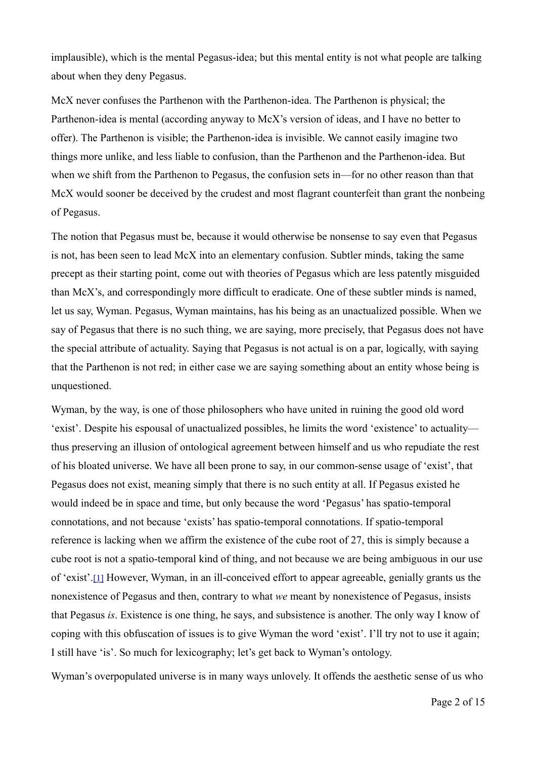implausible), which is the mental Pegasus-idea; but this mental entity is not what people are talking about when they deny Pegasus.

McX never confuses the Parthenon with the Parthenon-idea. The Parthenon is physical; the Parthenon-idea is mental (according anyway to McX's version of ideas, and I have no better to offer). The Parthenon is visible; the Parthenon-idea is invisible. We cannot easily imagine two things more unlike, and less liable to confusion, than the Parthenon and the Parthenon-idea. But when we shift from the Parthenon to Pegasus, the confusion sets in—for no other reason than that McX would sooner be deceived by the crudest and most flagrant counterfeit than grant the nonbeing of Pegasus.

The notion that Pegasus must be, because it would otherwise be nonsense to say even that Pegasus is not, has been seen to lead McX into an elementary confusion. Subtler minds, taking the same precept as their starting point, come out with theories of Pegasus which are less patently misguided than McX's, and correspondingly more difficult to eradicate. One of these subtler minds is named, let us say, Wyman. Pegasus, Wyman maintains, has his being as an unactualized possible. When we say of Pegasus that there is no such thing, we are saying, more precisely, that Pegasus does not have the special attribute of actuality. Saying that Pegasus is not actual is on a par, logically, with saying that the Parthenon is not red; in either case we are saying something about an entity whose being is unquestioned.

Wyman, by the way, is one of those philosophers who have united in ruining the good old word 'exist'. Despite his espousal of unactualized possibles, he limits the word 'existence' to actuality thus preserving an illusion of ontological agreement between himself and us who repudiate the rest of his bloated universe. We have all been prone to say, in our common-sense usage of 'exist', that Pegasus does not exist, meaning simply that there is no such entity at all. If Pegasus existed he would indeed be in space and time, but only because the word 'Pegasus' has spatio-temporal connotations, and not because 'exists' has spatio-temporal connotations. If spatio-temporal reference is lacking when we affirm the existence of the cube root of 27, this is simply because a cube root is not a spatio-temporal kind of thing, and not because we are being ambiguous in our use of 'exist'.[\[1\]](http://en.wikisource.org/wiki/On_What_There_Is#endnote_1) However, Wyman, in an ill-conceived effort to appear agreeable, genially grants us the nonexistence of Pegasus and then, contrary to what *we* meant by nonexistence of Pegasus, insists that Pegasus *is*. Existence is one thing, he says, and subsistence is another. The only way I know of coping with this obfuscation of issues is to give Wyman the word 'exist'. I'll try not to use it again; I still have 'is'. So much for lexicography; let's get back to Wyman's ontology.

Wyman's overpopulated universe is in many ways unlovely. It offends the aesthetic sense of us who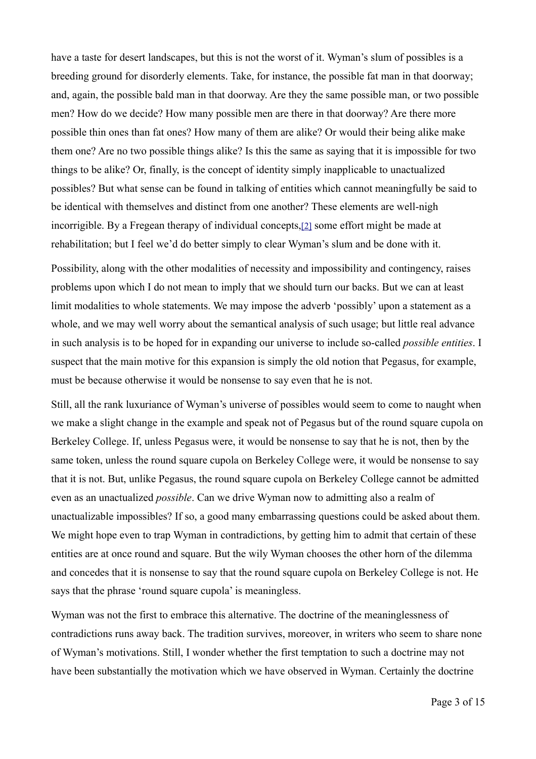have a taste for desert landscapes, but this is not the worst of it. Wyman's slum of possibles is a breeding ground for disorderly elements. Take, for instance, the possible fat man in that doorway; and, again, the possible bald man in that doorway. Are they the same possible man, or two possible men? How do we decide? How many possible men are there in that doorway? Are there more possible thin ones than fat ones? How many of them are alike? Or would their being alike make them one? Are no two possible things alike? Is this the same as saying that it is impossible for two things to be alike? Or, finally, is the concept of identity simply inapplicable to unactualized possibles? But what sense can be found in talking of entities which cannot meaningfully be said to be identical with themselves and distinct from one another? These elements are well-nigh incorrigible. By a Fregean therapy of individual concepts,[\[2\]](http://en.wikisource.org/wiki/On_What_There_Is#endnote_2) some effort might be made at rehabilitation; but I feel we'd do better simply to clear Wyman's slum and be done with it.

Possibility, along with the other modalities of necessity and impossibility and contingency, raises problems upon which I do not mean to imply that we should turn our backs. But we can at least limit modalities to whole statements. We may impose the adverb 'possibly' upon a statement as a whole, and we may well worry about the semantical analysis of such usage; but little real advance in such analysis is to be hoped for in expanding our universe to include so-called *possible entities*. I suspect that the main motive for this expansion is simply the old notion that Pegasus, for example, must be because otherwise it would be nonsense to say even that he is not.

Still, all the rank luxuriance of Wyman's universe of possibles would seem to come to naught when we make a slight change in the example and speak not of Pegasus but of the round square cupola on Berkeley College. If, unless Pegasus were, it would be nonsense to say that he is not, then by the same token, unless the round square cupola on Berkeley College were, it would be nonsense to say that it is not. But, unlike Pegasus, the round square cupola on Berkeley College cannot be admitted even as an unactualized *possible*. Can we drive Wyman now to admitting also a realm of unactualizable impossibles? If so, a good many embarrassing questions could be asked about them. We might hope even to trap Wyman in contradictions, by getting him to admit that certain of these entities are at once round and square. But the wily Wyman chooses the other horn of the dilemma and concedes that it is nonsense to say that the round square cupola on Berkeley College is not. He says that the phrase 'round square cupola' is meaningless.

Wyman was not the first to embrace this alternative. The doctrine of the meaninglessness of contradictions runs away back. The tradition survives, moreover, in writers who seem to share none of Wyman's motivations. Still, I wonder whether the first temptation to such a doctrine may not have been substantially the motivation which we have observed in Wyman. Certainly the doctrine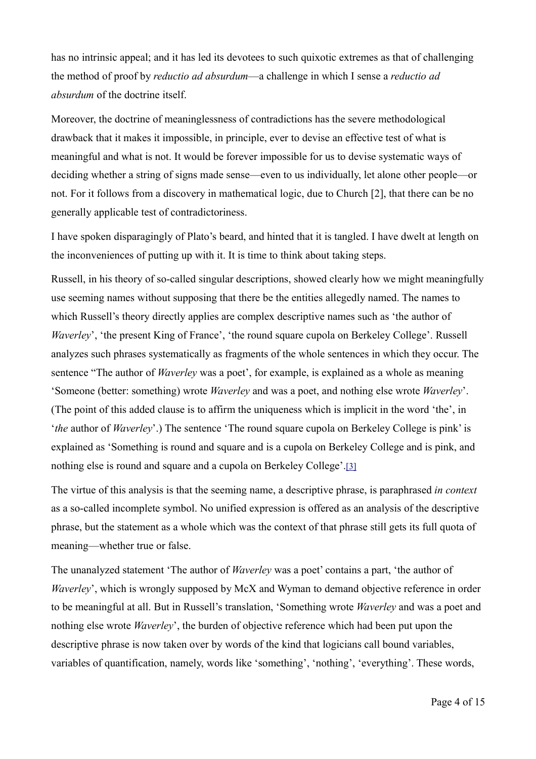has no intrinsic appeal; and it has led its devotees to such quixotic extremes as that of challenging the method of proof by *reductio ad absurdum*—a challenge in which I sense a *reductio ad absurdum* of the doctrine itself.

Moreover, the doctrine of meaninglessness of contradictions has the severe methodological drawback that it makes it impossible, in principle, ever to devise an effective test of what is meaningful and what is not. It would be forever impossible for us to devise systematic ways of deciding whether a string of signs made sense—even to us individually, let alone other people—or not. For it follows from a discovery in mathematical logic, due to Church [2], that there can be no generally applicable test of contradictoriness.

I have spoken disparagingly of Plato's beard, and hinted that it is tangled. I have dwelt at length on the inconveniences of putting up with it. It is time to think about taking steps.

Russell, in his theory of so-called singular descriptions, showed clearly how we might meaningfully use seeming names without supposing that there be the entities allegedly named. The names to which Russell's theory directly applies are complex descriptive names such as 'the author of *Waverley*', 'the present King of France', 'the round square cupola on Berkeley College'. Russell analyzes such phrases systematically as fragments of the whole sentences in which they occur. The sentence "The author of *Waverley* was a poet', for example, is explained as a whole as meaning 'Someone (better: something) wrote *Waverley* and was a poet, and nothing else wrote *Waverley*'. (The point of this added clause is to affirm the uniqueness which is implicit in the word 'the', in '*the* author of *Waverley*'.) The sentence 'The round square cupola on Berkeley College is pink' is explained as 'Something is round and square and is a cupola on Berkeley College and is pink, and nothing else is round and square and a cupola on Berkeley College'.[\[3\]](http://en.wikisource.org/wiki/On_What_There_Is#endnote_3)

The virtue of this analysis is that the seeming name, a descriptive phrase, is paraphrased *in context* as a so-called incomplete symbol. No unified expression is offered as an analysis of the descriptive phrase, but the statement as a whole which was the context of that phrase still gets its full quota of meaning—whether true or false.

The unanalyzed statement 'The author of *Waverley* was a poet' contains a part, 'the author of *Waverley*', which is wrongly supposed by McX and Wyman to demand objective reference in order to be meaningful at all. But in Russell's translation, 'Something wrote *Waverley* and was a poet and nothing else wrote *Waverley*', the burden of objective reference which had been put upon the descriptive phrase is now taken over by words of the kind that logicians call bound variables, variables of quantification, namely, words like 'something', 'nothing', 'everything'. These words,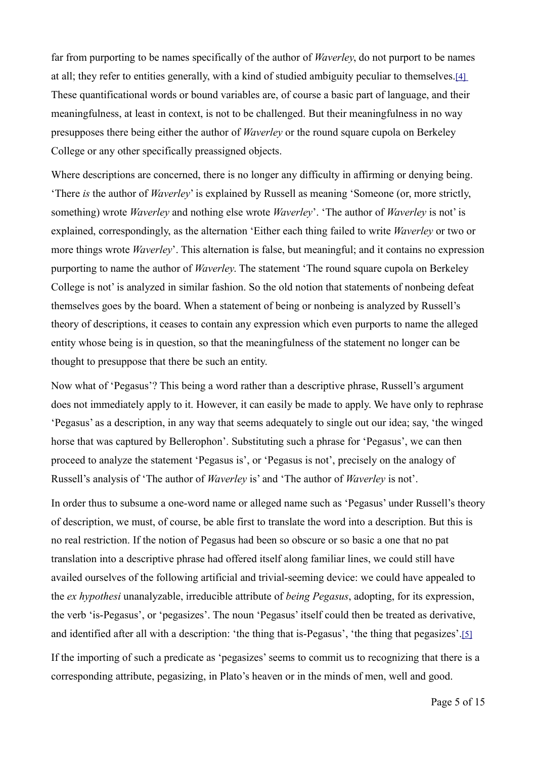far from purporting to be names specifically of the author of *Waverley*, do not purport to be names at all; they refer to entities generally, with a kind of studied ambiguity peculiar to themselves.[\[4\]](http://en.wikisource.org/wiki/On_What_There_Is#endnote_4) These quantificational words or bound variables are, of course a basic part of language, and their meaningfulness, at least in context, is not to be challenged. But their meaningfulness in no way presupposes there being either the author of *Waverley* or the round square cupola on Berkeley College or any other specifically preassigned objects.

Where descriptions are concerned, there is no longer any difficulty in affirming or denying being. 'There *is* the author of *Waverley*' is explained by Russell as meaning 'Someone (or, more strictly, something) wrote *Waverley* and nothing else wrote *Waverley*'. 'The author of *Waverley* is not' is explained, correspondingly, as the alternation 'Either each thing failed to write *Waverley* or two or more things wrote *Waverley*'. This alternation is false, but meaningful; and it contains no expression purporting to name the author of *Waverley*. The statement 'The round square cupola on Berkeley College is not' is analyzed in similar fashion. So the old notion that statements of nonbeing defeat themselves goes by the board. When a statement of being or nonbeing is analyzed by Russell's theory of descriptions, it ceases to contain any expression which even purports to name the alleged entity whose being is in question, so that the meaningfulness of the statement no longer can be thought to presuppose that there be such an entity.

Now what of 'Pegasus'? This being a word rather than a descriptive phrase, Russell's argument does not immediately apply to it. However, it can easily be made to apply. We have only to rephrase 'Pegasus' as a description, in any way that seems adequately to single out our idea; say, 'the winged horse that was captured by Bellerophon'. Substituting such a phrase for 'Pegasus', we can then proceed to analyze the statement 'Pegasus is', or 'Pegasus is not', precisely on the analogy of Russell's analysis of 'The author of *Waverley* is' and 'The author of *Waverley* is not'.

In order thus to subsume a one-word name or alleged name such as 'Pegasus' under Russell's theory of description, we must, of course, be able first to translate the word into a description. But this is no real restriction. If the notion of Pegasus had been so obscure or so basic a one that no pat translation into a descriptive phrase had offered itself along familiar lines, we could still have availed ourselves of the following artificial and trivial-seeming device: we could have appealed to the *ex hypothesi* unanalyzable, irreducible attribute of *being Pegasus*, adopting, for its expression, the verb 'is-Pegasus', or 'pegasizes'. The noun 'Pegasus' itself could then be treated as derivative, and identified after all with a description: 'the thing that is-Pegasus', 'the thing that pegasizes'.[\[5\]](http://en.wikisource.org/wiki/On_What_There_Is#endnote_5) If the importing of such a predicate as 'pegasizes' seems to commit us to recognizing that there is a corresponding attribute, pegasizing, in Plato's heaven or in the minds of men, well and good.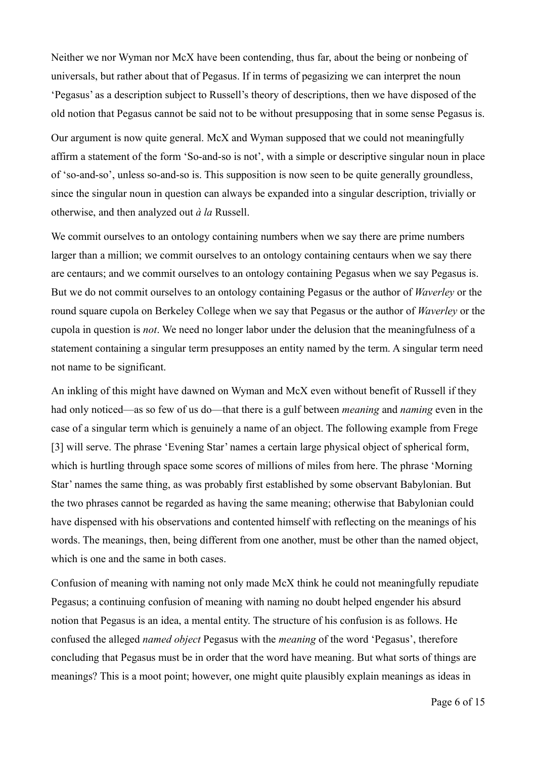Neither we nor Wyman nor McX have been contending, thus far, about the being or nonbeing of universals, but rather about that of Pegasus. If in terms of pegasizing we can interpret the noun 'Pegasus' as a description subject to Russell's theory of descriptions, then we have disposed of the old notion that Pegasus cannot be said not to be without presupposing that in some sense Pegasus is.

Our argument is now quite general. McX and Wyman supposed that we could not meaningfully affirm a statement of the form 'So-and-so is not', with a simple or descriptive singular noun in place of 'so-and-so', unless so-and-so is. This supposition is now seen to be quite generally groundless, since the singular noun in question can always be expanded into a singular description, trivially or otherwise, and then analyzed out *à la* Russell.

We commit ourselves to an ontology containing numbers when we say there are prime numbers larger than a million; we commit ourselves to an ontology containing centaurs when we say there are centaurs; and we commit ourselves to an ontology containing Pegasus when we say Pegasus is. But we do not commit ourselves to an ontology containing Pegasus or the author of *Waverley* or the round square cupola on Berkeley College when we say that Pegasus or the author of *Waverley* or the cupola in question is *not*. We need no longer labor under the delusion that the meaningfulness of a statement containing a singular term presupposes an entity named by the term. A singular term need not name to be significant.

An inkling of this might have dawned on Wyman and McX even without benefit of Russell if they had only noticed—as so few of us do—that there is a gulf between *meaning* and *naming* even in the case of a singular term which is genuinely a name of an object. The following example from Frege [3] will serve. The phrase 'Evening Star' names a certain large physical object of spherical form, which is hurtling through space some scores of millions of miles from here. The phrase 'Morning Star' names the same thing, as was probably first established by some observant Babylonian. But the two phrases cannot be regarded as having the same meaning; otherwise that Babylonian could have dispensed with his observations and contented himself with reflecting on the meanings of his words. The meanings, then, being different from one another, must be other than the named object, which is one and the same in both cases.

Confusion of meaning with naming not only made McX think he could not meaningfully repudiate Pegasus; a continuing confusion of meaning with naming no doubt helped engender his absurd notion that Pegasus is an idea, a mental entity. The structure of his confusion is as follows. He confused the alleged *named object* Pegasus with the *meaning* of the word 'Pegasus', therefore concluding that Pegasus must be in order that the word have meaning. But what sorts of things are meanings? This is a moot point; however, one might quite plausibly explain meanings as ideas in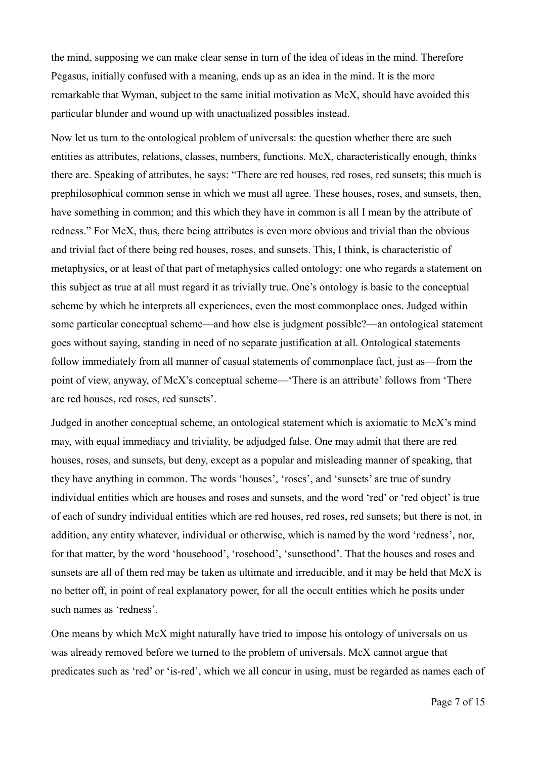the mind, supposing we can make clear sense in turn of the idea of ideas in the mind. Therefore Pegasus, initially confused with a meaning, ends up as an idea in the mind. It is the more remarkable that Wyman, subject to the same initial motivation as McX, should have avoided this particular blunder and wound up with unactualized possibles instead.

Now let us turn to the ontological problem of universals: the question whether there are such entities as attributes, relations, classes, numbers, functions. McX, characteristically enough, thinks there are. Speaking of attributes, he says: "There are red houses, red roses, red sunsets; this much is prephilosophical common sense in which we must all agree. These houses, roses, and sunsets, then, have something in common; and this which they have in common is all I mean by the attribute of redness." For McX, thus, there being attributes is even more obvious and trivial than the obvious and trivial fact of there being red houses, roses, and sunsets. This, I think, is characteristic of metaphysics, or at least of that part of metaphysics called ontology: one who regards a statement on this subject as true at all must regard it as trivially true. One's ontology is basic to the conceptual scheme by which he interprets all experiences, even the most commonplace ones. Judged within some particular conceptual scheme—and how else is judgment possible?—an ontological statement goes without saying, standing in need of no separate justification at all. Ontological statements follow immediately from all manner of casual statements of commonplace fact, just as—from the point of view, anyway, of McX's conceptual scheme—'There is an attribute' follows from 'There are red houses, red roses, red sunsets'.

Judged in another conceptual scheme, an ontological statement which is axiomatic to McX's mind may, with equal immediacy and triviality, be adjudged false. One may admit that there are red houses, roses, and sunsets, but deny, except as a popular and misleading manner of speaking, that they have anything in common. The words 'houses', 'roses', and 'sunsets' are true of sundry individual entities which are houses and roses and sunsets, and the word 'red' or 'red object' is true of each of sundry individual entities which are red houses, red roses, red sunsets; but there is not, in addition, any entity whatever, individual or otherwise, which is named by the word 'redness', nor, for that matter, by the word 'househood', 'rosehood', 'sunsethood'. That the houses and roses and sunsets are all of them red may be taken as ultimate and irreducible, and it may be held that McX is no better off, in point of real explanatory power, for all the occult entities which he posits under such names as 'redness'.

One means by which McX might naturally have tried to impose his ontology of universals on us was already removed before we turned to the problem of universals. McX cannot argue that predicates such as 'red' or 'is-red', which we all concur in using, must be regarded as names each of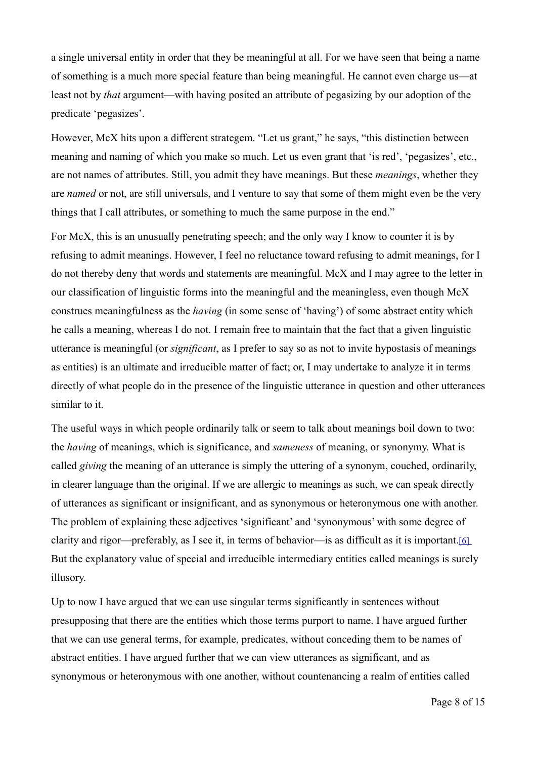a single universal entity in order that they be meaningful at all. For we have seen that being a name of something is a much more special feature than being meaningful. He cannot even charge us—at least not by *that* argument—with having posited an attribute of pegasizing by our adoption of the predicate 'pegasizes'.

However, McX hits upon a different strategem. "Let us grant," he says, "this distinction between meaning and naming of which you make so much. Let us even grant that 'is red', 'pegasizes', etc., are not names of attributes. Still, you admit they have meanings. But these *meanings*, whether they are *named* or not, are still universals, and I venture to say that some of them might even be the very things that I call attributes, or something to much the same purpose in the end."

For McX, this is an unusually penetrating speech; and the only way I know to counter it is by refusing to admit meanings. However, I feel no reluctance toward refusing to admit meanings, for I do not thereby deny that words and statements are meaningful. McX and I may agree to the letter in our classification of linguistic forms into the meaningful and the meaningless, even though McX construes meaningfulness as the *having* (in some sense of 'having') of some abstract entity which he calls a meaning, whereas I do not. I remain free to maintain that the fact that a given linguistic utterance is meaningful (or *significant*, as I prefer to say so as not to invite hypostasis of meanings as entities) is an ultimate and irreducible matter of fact; or, I may undertake to analyze it in terms directly of what people do in the presence of the linguistic utterance in question and other utterances similar to it.

The useful ways in which people ordinarily talk or seem to talk about meanings boil down to two: the *having* of meanings, which is significance, and *sameness* of meaning, or synonymy. What is called *giving* the meaning of an utterance is simply the uttering of a synonym, couched, ordinarily, in clearer language than the original. If we are allergic to meanings as such, we can speak directly of utterances as significant or insignificant, and as synonymous or heteronymous one with another. The problem of explaining these adjectives 'significant' and 'synonymous' with some degree of clarity and rigor—preferably, as I see it, in terms of behavior—is as difficult as it is important.[\[6\]](http://en.wikisource.org/wiki/On_What_There_Is#endnote_6) But the explanatory value of special and irreducible intermediary entities called meanings is surely illusory.

Up to now I have argued that we can use singular terms significantly in sentences without presupposing that there are the entities which those terms purport to name. I have argued further that we can use general terms, for example, predicates, without conceding them to be names of abstract entities. I have argued further that we can view utterances as significant, and as synonymous or heteronymous with one another, without countenancing a realm of entities called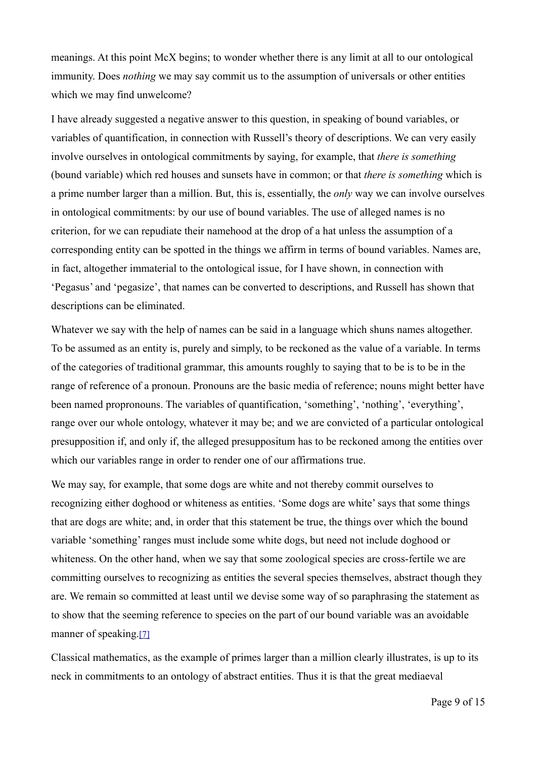meanings. At this point McX begins; to wonder whether there is any limit at all to our ontological immunity. Does *nothing* we may say commit us to the assumption of universals or other entities which we may find unwelcome?

I have already suggested a negative answer to this question, in speaking of bound variables, or variables of quantification, in connection with Russell's theory of descriptions. We can very easily involve ourselves in ontological commitments by saying, for example, that *there is something* (bound variable) which red houses and sunsets have in common; or that *there is something* which is a prime number larger than a million. But, this is, essentially, the *only* way we can involve ourselves in ontological commitments: by our use of bound variables. The use of alleged names is no criterion, for we can repudiate their namehood at the drop of a hat unless the assumption of a corresponding entity can be spotted in the things we affirm in terms of bound variables. Names are, in fact, altogether immaterial to the ontological issue, for I have shown, in connection with 'Pegasus' and 'pegasize', that names can be converted to descriptions, and Russell has shown that descriptions can be eliminated.

Whatever we say with the help of names can be said in a language which shuns names altogether. To be assumed as an entity is, purely and simply, to be reckoned as the value of a variable. In terms of the categories of traditional grammar, this amounts roughly to saying that to be is to be in the range of reference of a pronoun. Pronouns are the basic media of reference; nouns might better have been named propronouns. The variables of quantification, 'something', 'nothing', 'everything', range over our whole ontology, whatever it may be; and we are convicted of a particular ontological presupposition if, and only if, the alleged presuppositum has to be reckoned among the entities over which our variables range in order to render one of our affirmations true.

We may say, for example, that some dogs are white and not thereby commit ourselves to recognizing either doghood or whiteness as entities. 'Some dogs are white' says that some things that are dogs are white; and, in order that this statement be true, the things over which the bound variable 'something' ranges must include some white dogs, but need not include doghood or whiteness. On the other hand, when we say that some zoological species are cross-fertile we are committing ourselves to recognizing as entities the several species themselves, abstract though they are. We remain so committed at least until we devise some way of so paraphrasing the statement as to show that the seeming reference to species on the part of our bound variable was an avoidable manner of speaking.[\[7\]](http://en.wikisource.org/wiki/On_What_There_Is#endnote_7)

Classical mathematics, as the example of primes larger than a million clearly illustrates, is up to its neck in commitments to an ontology of abstract entities. Thus it is that the great mediaeval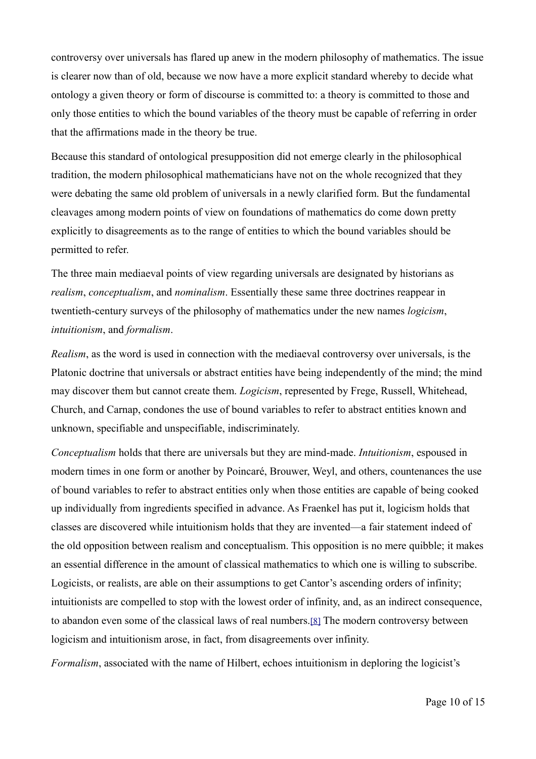controversy over universals has flared up anew in the modern philosophy of mathematics. The issue is clearer now than of old, because we now have a more explicit standard whereby to decide what ontology a given theory or form of discourse is committed to: a theory is committed to those and only those entities to which the bound variables of the theory must be capable of referring in order that the affirmations made in the theory be true.

Because this standard of ontological presupposition did not emerge clearly in the philosophical tradition, the modern philosophical mathematicians have not on the whole recognized that they were debating the same old problem of universals in a newly clarified form. But the fundamental cleavages among modern points of view on foundations of mathematics do come down pretty explicitly to disagreements as to the range of entities to which the bound variables should be permitted to refer.

The three main mediaeval points of view regarding universals are designated by historians as *realism*, *conceptualism*, and *nominalism*. Essentially these same three doctrines reappear in twentieth-century surveys of the philosophy of mathematics under the new names *logicism*, *intuitionism*, and *formalism*.

*Realism*, as the word is used in connection with the mediaeval controversy over universals, is the Platonic doctrine that universals or abstract entities have being independently of the mind; the mind may discover them but cannot create them. *Logicism*, represented by Frege, Russell, Whitehead, Church, and Carnap, condones the use of bound variables to refer to abstract entities known and unknown, specifiable and unspecifiable, indiscriminately.

*Conceptualism* holds that there are universals but they are mind-made. *Intuitionism*, espoused in modern times in one form or another by Poincaré, Brouwer, Weyl, and others, countenances the use of bound variables to refer to abstract entities only when those entities are capable of being cooked up individually from ingredients specified in advance. As Fraenkel has put it, logicism holds that classes are discovered while intuitionism holds that they are invented—a fair statement indeed of the old opposition between realism and conceptualism. This opposition is no mere quibble; it makes an essential difference in the amount of classical mathematics to which one is willing to subscribe. Logicists, or realists, are able on their assumptions to get Cantor's ascending orders of infinity; intuitionists are compelled to stop with the lowest order of infinity, and, as an indirect consequence, to abandon even some of the classical laws of real numbers.[\[8\]](http://en.wikisource.org/wiki/On_What_There_Is#endnote_8) The modern controversy between logicism and intuitionism arose, in fact, from disagreements over infinity.

*Formalism*, associated with the name of Hilbert, echoes intuitionism in deploring the logicist's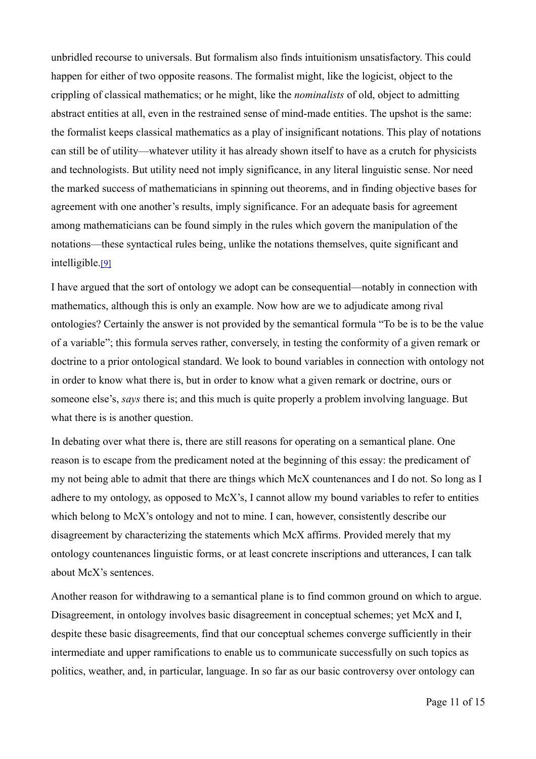unbridled recourse to universals. But formalism also finds intuitionism unsatisfactory. This could happen for either of two opposite reasons. The formalist might, like the logicist, object to the crippling of classical mathematics; or he might, like the *nominalists* of old, object to admitting abstract entities at all, even in the restrained sense of mind-made entities. The upshot is the same: the formalist keeps classical mathematics as a play of insignificant notations. This play of notations can still be of utility—whatever utility it has already shown itself to have as a crutch for physicists and technologists. But utility need not imply significance, in any literal linguistic sense. Nor need the marked success of mathematicians in spinning out theorems, and in finding objective bases for agreement with one another's results, imply significance. For an adequate basis for agreement among mathematicians can be found simply in the rules which govern the manipulation of the notations—these syntactical rules being, unlike the notations themselves, quite significant and intelligible.[\[9\]](http://en.wikisource.org/wiki/On_What_There_Is#endnote_9)

I have argued that the sort of ontology we adopt can be consequential—notably in connection with mathematics, although this is only an example. Now how are we to adjudicate among rival ontologies? Certainly the answer is not provided by the semantical formula "To be is to be the value of a variable"; this formula serves rather, conversely, in testing the conformity of a given remark or doctrine to a prior ontological standard. We look to bound variables in connection with ontology not in order to know what there is, but in order to know what a given remark or doctrine, ours or someone else's, *says* there is; and this much is quite properly a problem involving language. But what there is is another question.

In debating over what there is, there are still reasons for operating on a semantical plane. One reason is to escape from the predicament noted at the beginning of this essay: the predicament of my not being able to admit that there are things which McX countenances and I do not. So long as I adhere to my ontology, as opposed to McX's, I cannot allow my bound variables to refer to entities which belong to McX's ontology and not to mine. I can, however, consistently describe our disagreement by characterizing the statements which McX affirms. Provided merely that my ontology countenances linguistic forms, or at least concrete inscriptions and utterances, I can talk about McX's sentences.

Another reason for withdrawing to a semantical plane is to find common ground on which to argue. Disagreement, in ontology involves basic disagreement in conceptual schemes; yet McX and I, despite these basic disagreements, find that our conceptual schemes converge sufficiently in their intermediate and upper ramifications to enable us to communicate successfully on such topics as politics, weather, and, in particular, language. In so far as our basic controversy over ontology can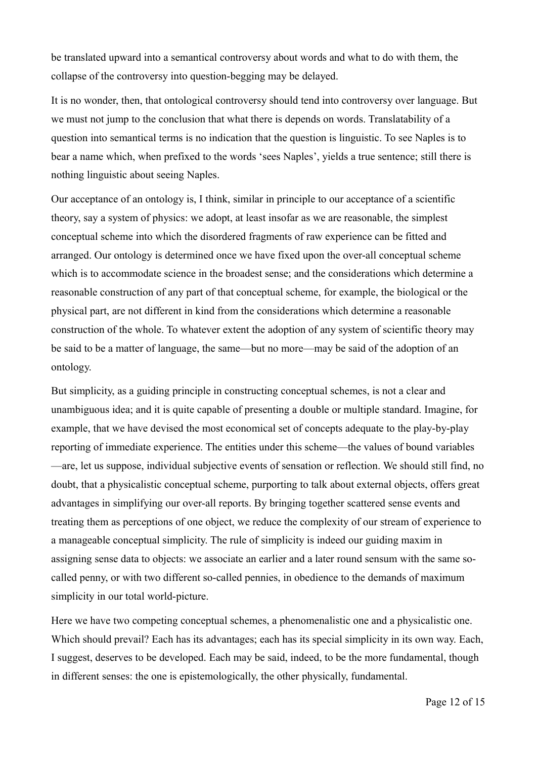be translated upward into a semantical controversy about words and what to do with them, the collapse of the controversy into question-begging may be delayed.

It is no wonder, then, that ontological controversy should tend into controversy over language. But we must not jump to the conclusion that what there is depends on words. Translatability of a question into semantical terms is no indication that the question is linguistic. To see Naples is to bear a name which, when prefixed to the words 'sees Naples', yields a true sentence; still there is nothing linguistic about seeing Naples.

Our acceptance of an ontology is, I think, similar in principle to our acceptance of a scientific theory, say a system of physics: we adopt, at least insofar as we are reasonable, the simplest conceptual scheme into which the disordered fragments of raw experience can be fitted and arranged. Our ontology is determined once we have fixed upon the over-all conceptual scheme which is to accommodate science in the broadest sense; and the considerations which determine a reasonable construction of any part of that conceptual scheme, for example, the biological or the physical part, are not different in kind from the considerations which determine a reasonable construction of the whole. To whatever extent the adoption of any system of scientific theory may be said to be a matter of language, the same—but no more—may be said of the adoption of an ontology.

But simplicity, as a guiding principle in constructing conceptual schemes, is not a clear and unambiguous idea; and it is quite capable of presenting a double or multiple standard. Imagine, for example, that we have devised the most economical set of concepts adequate to the play-by-play reporting of immediate experience. The entities under this scheme—the values of bound variables —are, let us suppose, individual subjective events of sensation or reflection. We should still find, no doubt, that a physicalistic conceptual scheme, purporting to talk about external objects, offers great advantages in simplifying our over-all reports. By bringing together scattered sense events and treating them as perceptions of one object, we reduce the complexity of our stream of experience to a manageable conceptual simplicity. The rule of simplicity is indeed our guiding maxim in assigning sense data to objects: we associate an earlier and a later round sensum with the same socalled penny, or with two different so-called pennies, in obedience to the demands of maximum simplicity in our total world-picture.

Here we have two competing conceptual schemes, a phenomenalistic one and a physicalistic one. Which should prevail? Each has its advantages; each has its special simplicity in its own way. Each, I suggest, deserves to be developed. Each may be said, indeed, to be the more fundamental, though in different senses: the one is epistemologically, the other physically, fundamental.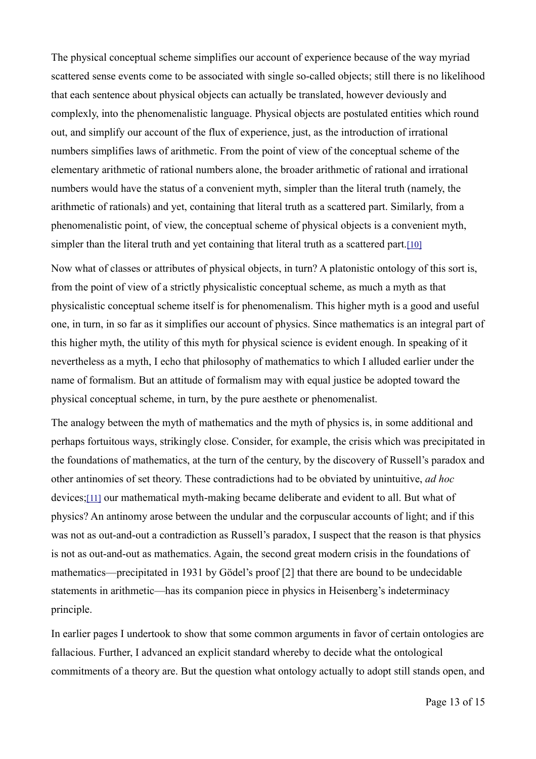The physical conceptual scheme simplifies our account of experience because of the way myriad scattered sense events come to be associated with single so-called objects; still there is no likelihood that each sentence about physical objects can actually be translated, however deviously and complexly, into the phenomenalistic language. Physical objects are postulated entities which round out, and simplify our account of the flux of experience, just, as the introduction of irrational numbers simplifies laws of arithmetic. From the point of view of the conceptual scheme of the elementary arithmetic of rational numbers alone, the broader arithmetic of rational and irrational numbers would have the status of a convenient myth, simpler than the literal truth (namely, the arithmetic of rationals) and yet, containing that literal truth as a scattered part. Similarly, from a phenomenalistic point, of view, the conceptual scheme of physical objects is a convenient myth, simpler than the literal truth and yet containing that literal truth as a scattered part.[\[10\]](http://en.wikisource.org/wiki/On_What_There_Is#endnote_10)

Now what of classes or attributes of physical objects, in turn? A platonistic ontology of this sort is, from the point of view of a strictly physicalistic conceptual scheme, as much a myth as that physicalistic conceptual scheme itself is for phenomenalism. This higher myth is a good and useful one, in turn, in so far as it simplifies our account of physics. Since mathematics is an integral part of this higher myth, the utility of this myth for physical science is evident enough. In speaking of it nevertheless as a myth, I echo that philosophy of mathematics to which I alluded earlier under the name of formalism. But an attitude of formalism may with equal justice be adopted toward the physical conceptual scheme, in turn, by the pure aesthete or phenomenalist.

The analogy between the myth of mathematics and the myth of physics is, in some additional and perhaps fortuitous ways, strikingly close. Consider, for example, the crisis which was precipitated in the foundations of mathematics, at the turn of the century, by the discovery of Russell's paradox and other antinomies of set theory. These contradictions had to be obviated by unintuitive, *ad hoc* devices;[\[11\]](http://en.wikisource.org/wiki/On_What_There_Is#endnote_11) our mathematical myth-making became deliberate and evident to all. But what of physics? An antinomy arose between the undular and the corpuscular accounts of light; and if this was not as out-and-out a contradiction as Russell's paradox, I suspect that the reason is that physics is not as out-and-out as mathematics. Again, the second great modern crisis in the foundations of mathematics—precipitated in 1931 by Gödel's proof [2] that there are bound to be undecidable statements in arithmetic—has its companion piece in physics in Heisenberg's indeterminacy principle.

In earlier pages I undertook to show that some common arguments in favor of certain ontologies are fallacious. Further, I advanced an explicit standard whereby to decide what the ontological commitments of a theory are. But the question what ontology actually to adopt still stands open, and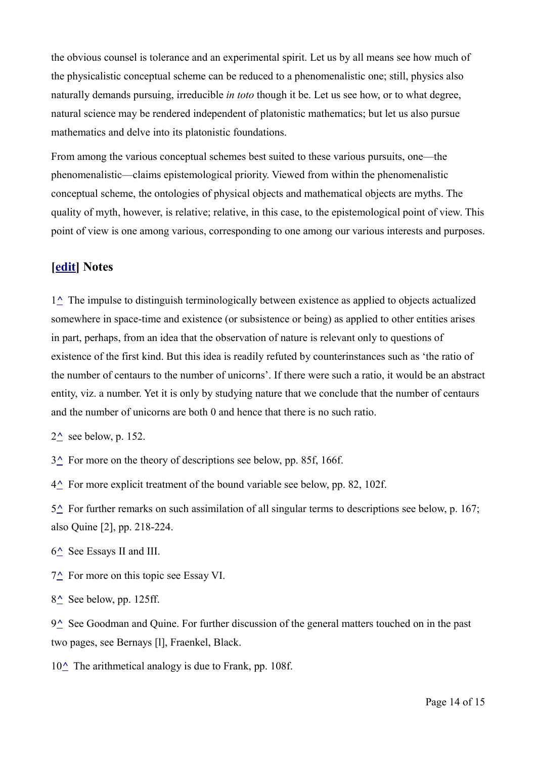the obvious counsel is tolerance and an experimental spirit. Let us by all means see how much of the physicalistic conceptual scheme can be reduced to a phenomenalistic one; still, physics also naturally demands pursuing, irreducible *in toto* though it be. Let us see how, or to what degree, natural science may be rendered independent of platonistic mathematics; but let us also pursue mathematics and delve into its platonistic foundations.

From among the various conceptual schemes best suited to these various pursuits, one—the phenomenalistic—claims epistemological priority. Viewed from within the phenomenalistic conceptual scheme, the ontologies of physical objects and mathematical objects are myths. The quality of myth, however, is relative; relative, in this case, to the epistemological point of view. This point of view is one among various, corresponding to one among our various interests and purposes.

## **[\[edit\]](http://en.wikisource.org/w/index.php?title=On_What_There_Is&action=edit§ion=1) Notes**

1*[^](http://en.wikisource.org/wiki/On_What_There_Is#ref_1)* The impulse to distinguish terminologically between existence as applied to objects actualized somewhere in space-time and existence (or subsistence or being) as applied to other entities arises in part, perhaps, from an idea that the observation of nature is relevant only to questions of existence of the first kind. But this idea is readily refuted by counterinstances such as 'the ratio of the number of centaurs to the number of unicorns'. If there were such a ratio, it would be an abstract entity, viz. a number. Yet it is only by studying nature that we conclude that the number of centaurs and the number of unicorns are both 0 and hence that there is no such ratio.

2*[^](http://en.wikisource.org/wiki/On_What_There_Is#ref_2)* see below, p. 152.

3*[^](http://en.wikisource.org/wiki/On_What_There_Is#ref_3)* For more on the theory of descriptions see below, pp. 85f, 166f.

4*[^](http://en.wikisource.org/wiki/On_What_There_Is#ref_4)* For more explicit treatment of the bound variable see below, pp. 82, 102f.

5*[^](http://en.wikisource.org/wiki/On_What_There_Is#ref_5)* For further remarks on such assimilation of all singular terms to descriptions see below, p. 167; also Quine [2], pp. 218-224.

6*[^](http://en.wikisource.org/wiki/On_What_There_Is#ref_6)* See Essays II and III.

7*[^](http://en.wikisource.org/wiki/On_What_There_Is#ref_7)* For more on this topic see Essay VI.

8*[^](http://en.wikisource.org/wiki/On_What_There_Is#ref_8)* See below, pp. 125ff.

9*[^](http://en.wikisource.org/wiki/On_What_There_Is#ref_9)* See Goodman and Quine. For further discussion of the general matters touched on in the past two pages, see Bernays [l], Fraenkel, Black.

10*[^](http://en.wikisource.org/wiki/On_What_There_Is#ref_10)* The arithmetical analogy is due to Frank, pp. 108f.